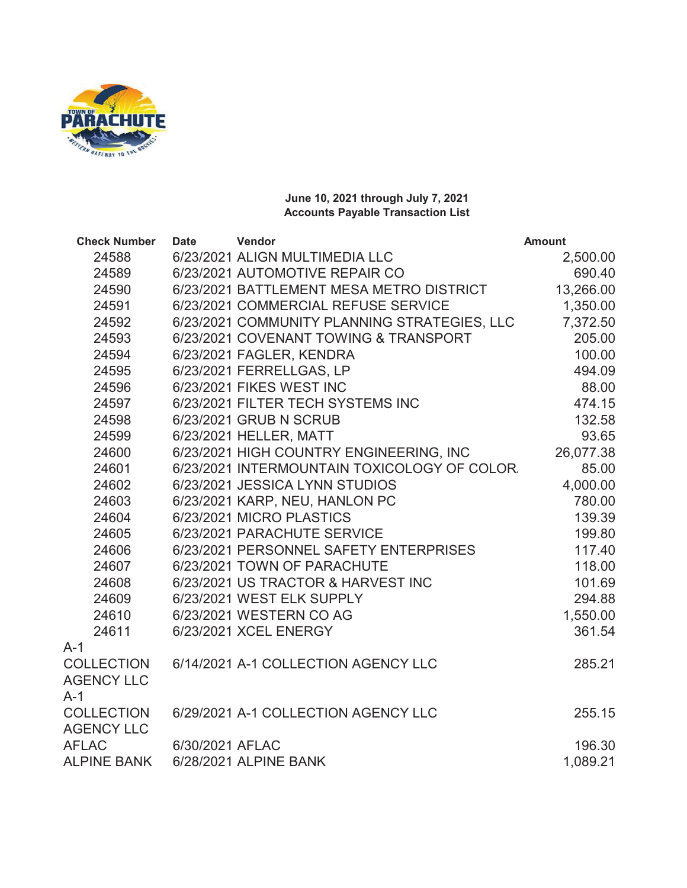

## **June 10, 2021 through July 7, 2021 Accounts Payable Transaction List**

| <b>Check Number</b> | <b>Date</b>     | Vendor                                       | <b>Amount</b> |
|---------------------|-----------------|----------------------------------------------|---------------|
| 24588               |                 | 6/23/2021 ALIGN MULTIMEDIA LLC               | 2,500.00      |
| 24589               |                 | 6/23/2021 AUTOMOTIVE REPAIR CO               | 690.40        |
| 24590               |                 | 6/23/2021 BATTLEMENT MESA METRO DISTRICT     | 13,266.00     |
| 24591               |                 | 6/23/2021 COMMERCIAL REFUSE SERVICE          | 1,350.00      |
| 24592               |                 | 6/23/2021 COMMUNITY PLANNING STRATEGIES, LLC | 7,372.50      |
| 24593               |                 | 6/23/2021 COVENANT TOWING & TRANSPORT        | 205.00        |
| 24594               |                 | 6/23/2021 FAGLER, KENDRA                     | 100.00        |
| 24595               |                 | 6/23/2021 FERRELLGAS, LP                     | 494.09        |
| 24596               |                 | 6/23/2021 FIKES WEST INC                     | 88.00         |
| 24597               |                 | 6/23/2021 FILTER TECH SYSTEMS INC            | 474.15        |
| 24598               |                 | 6/23/2021 GRUB N SCRUB                       | 132.58        |
| 24599               |                 | 6/23/2021 HELLER, MATT                       | 93.65         |
| 24600               |                 | 6/23/2021 HIGH COUNTRY ENGINEERING, INC      | 26,077.38     |
| 24601               |                 | 6/23/2021 INTERMOUNTAIN TOXICOLOGY OF COLOR. | 85.00         |
| 24602               |                 | 6/23/2021 JESSICA LYNN STUDIOS               | 4,000.00      |
| 24603               |                 | 6/23/2021 KARP, NEU, HANLON PC               | 780.00        |
| 24604               |                 | 6/23/2021 MICRO PLASTICS                     | 139.39        |
| 24605               |                 | 6/23/2021 PARACHUTE SERVICE                  | 199.80        |
| 24606               |                 | 6/23/2021 PERSONNEL SAFETY ENTERPRISES       | 117.40        |
| 24607               |                 | 6/23/2021 TOWN OF PARACHUTE                  | 118.00        |
| 24608               |                 | 6/23/2021 US TRACTOR & HARVEST INC           | 101.69        |
| 24609               |                 | 6/23/2021 WEST ELK SUPPLY                    | 294.88        |
| 24610               |                 | 6/23/2021 WESTERN CO AG                      | 1,550.00      |
| 24611               |                 | 6/23/2021 XCEL ENERGY                        | 361.54        |
| $A-1$               |                 |                                              |               |
| <b>COLLECTION</b>   |                 | 6/14/2021 A-1 COLLECTION AGENCY LLC          | 285.21        |
| <b>AGENCY LLC</b>   |                 |                                              |               |
| $A-1$               |                 |                                              |               |
| <b>COLLECTION</b>   |                 | 6/29/2021 A-1 COLLECTION AGENCY LLC          | 255.15        |
| <b>AGENCY LLC</b>   |                 |                                              |               |
| <b>AFLAC</b>        | 6/30/2021 AFLAC |                                              | 196.30        |
| <b>ALPINE BANK</b>  |                 | 6/28/2021 ALPINE BANK                        | 1,089.21      |